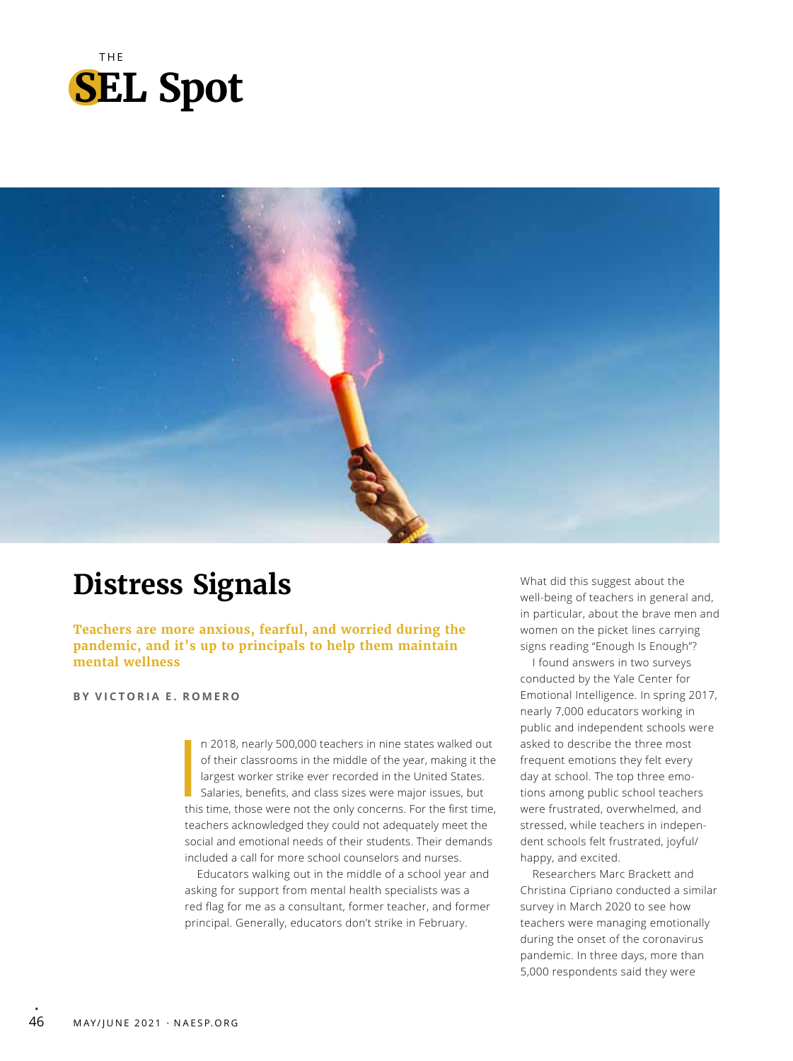



# **Distress Signals**

**Teachers are more anxious, fearful, and worried during the pandemic, and it's up to principals to help them maintain mental wellness**

### **BY VICTORIA E. ROMERO**

In 2018, nearly 500,000 teachers in nine states walked out of their classrooms in the middle of the year, making it the largest worker strike ever recorded in the United States. Salaries, benefits, and class sizes were maj n 2018, nearly 500,000 teachers in nine states walked out of their classrooms in the middle of the year, making it the largest worker strike ever recorded in the United States. Salaries, benefits, and class sizes were major issues, but teachers acknowledged they could not adequately meet the social and emotional needs of their students. Their demands included a call for more school counselors and nurses.

Educators walking out in the middle of a school year and asking for support from mental health specialists was a red flag for me as a consultant, former teacher, and former principal. Generally, educators don't strike in February.

What did this suggest about the well-being of teachers in general and, in particular, about the brave men and women on the picket lines carrying signs reading "Enough Is Enough"?

I found answers in two surveys conducted by the Yale Center for Emotional Intelligence. In spring 2017, nearly 7,000 educators working in public and independent schools were asked to describe the three most frequent emotions they felt every day at school. The top three emotions among public school teachers were frustrated, overwhelmed, and stressed, while teachers in independent schools felt frustrated, joyful/ happy, and excited.

Researchers Marc Brackett and Christina Cipriano conducted a similar survey in March 2020 to see how teachers were managing emotionally during the onset of the coronavirus pandemic. In three days, more than 5,000 respondents said they were